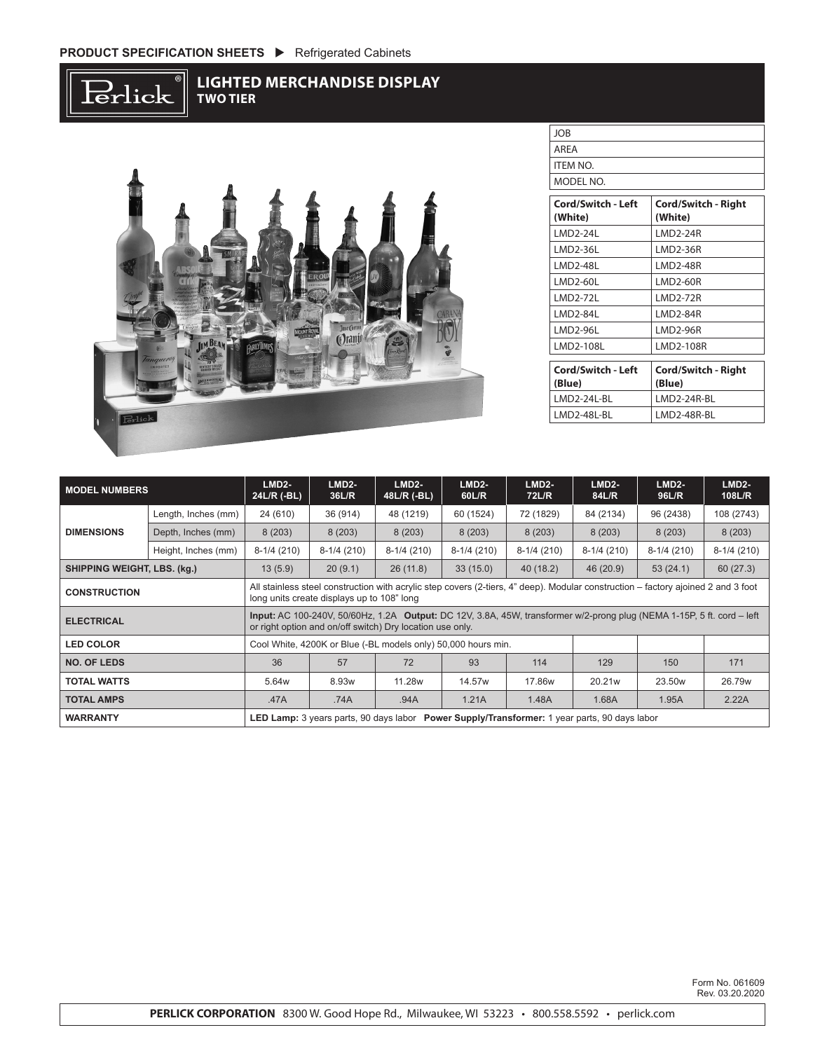$\operatorname{Perlick}$ 

## **LIGHTED MERCHANDISE DISPLAY TWO TIER**



| <b>JOB</b>                |                            |
|---------------------------|----------------------------|
| ARFA                      |                            |
| ITEM NO.                  |                            |
| MODEL NO.                 |                            |
|                           |                            |
| <b>Cord/Switch - Left</b> | <b>Cord/Switch - Right</b> |

| (White)            | (White)                    |  |  |  |  |  |
|--------------------|----------------------------|--|--|--|--|--|
| <b>LMD2-24L</b>    | <b>LMD2-24R</b>            |  |  |  |  |  |
| LMD2-36L           | <b>LMD2-36R</b>            |  |  |  |  |  |
| <b>LMD2-48L</b>    | <b>LMD2-48R</b>            |  |  |  |  |  |
| LMD2-60L           | <b>LMD2-60R</b>            |  |  |  |  |  |
| <b>LMD2-72L</b>    | <b>LMD2-72R</b>            |  |  |  |  |  |
| LMD2-84L           | <b>LMD2-84R</b>            |  |  |  |  |  |
| LMD2-96L           | <b>LMD2-96R</b>            |  |  |  |  |  |
| LMD2-108L          | LMD2-108R                  |  |  |  |  |  |
|                    |                            |  |  |  |  |  |
| Cord/Switch - Left | <b>Cord/Switch - Right</b> |  |  |  |  |  |
| (Blue)             | (Blue)                     |  |  |  |  |  |
| LMD2-24L-BL        | LMD2-24R-BL                |  |  |  |  |  |
| LMD2-48L-BL        | LMD2-48R-BL                |  |  |  |  |  |

| <b>MODEL NUMBERS</b>                                                                                            |                                                                                                                                                                                     | $LMD2-$<br>24L/R (-BL)                                                                                                                                                          | $LMD2-$<br>36L/R | $LMD2-$<br>48L/R (-BL) | $LMD2-$<br>60L/R | $LMD2-$<br>72L/R | $LMD2-$<br>84L/R | $LMD2-$<br>96L/R   | $LMD2-$<br>108L/R |
|-----------------------------------------------------------------------------------------------------------------|-------------------------------------------------------------------------------------------------------------------------------------------------------------------------------------|---------------------------------------------------------------------------------------------------------------------------------------------------------------------------------|------------------|------------------------|------------------|------------------|------------------|--------------------|-------------------|
| <b>DIMENSIONS</b>                                                                                               | Length, Inches (mm)                                                                                                                                                                 | 24 (610)                                                                                                                                                                        | 36 (914)         | 48 (1219)              | 60 (1524)        | 72 (1829)        | 84 (2134)        | 96 (2438)          | 108 (2743)        |
|                                                                                                                 | Depth, Inches (mm)                                                                                                                                                                  | 8(203)                                                                                                                                                                          | 8(203)           | 8(203)                 | 8(203)           | 8(203)           | 8(203)           | 8(203)             | 8(203)            |
|                                                                                                                 | Height, Inches (mm)                                                                                                                                                                 | $8-1/4(210)$                                                                                                                                                                    | $8-1/4(210)$     | $8-1/4(210)$           | $8-1/4(210)$     | $8-1/4(210)$     | $8-1/4(210)$     | $8-1/4(210)$       | $8-1/4(210)$      |
| SHIPPING WEIGHT, LBS. (kg.)                                                                                     |                                                                                                                                                                                     | 13(5.9)                                                                                                                                                                         | 20(9.1)          | 26(11.8)               | 33(15.0)         | 40(18.2)         | 46 (20.9)        | 53(24.1)           | 60(27.3)          |
| <b>CONSTRUCTION</b>                                                                                             |                                                                                                                                                                                     | All stainless steel construction with acrylic step covers (2-tiers, 4" deep). Modular construction – factory ajoined 2 and 3 foot<br>long units create displays up to 108" long |                  |                        |                  |                  |                  |                    |                   |
| <b>ELECTRICAL</b>                                                                                               | Input: AC 100-240V, 50/60Hz, 1.2A Output: DC 12V, 3.8A, 45W, transformer w/2-prong plug (NEMA 1-15P, 5 ft. cord – left<br>or right option and on/off switch) Dry location use only. |                                                                                                                                                                                 |                  |                        |                  |                  |                  |                    |                   |
| <b>LED COLOR</b>                                                                                                |                                                                                                                                                                                     | Cool White, 4200K or Blue (-BL models only) 50,000 hours min.                                                                                                                   |                  |                        |                  |                  |                  |                    |                   |
| <b>NO. OF LEDS</b>                                                                                              |                                                                                                                                                                                     | 36                                                                                                                                                                              | 57               | 72                     | 93               | 114              | 129              | 150                | 171               |
| <b>TOTAL WATTS</b>                                                                                              |                                                                                                                                                                                     | 5.64w                                                                                                                                                                           | 8.93w            | 11.28w                 | 14.57w           | 17.86w           | 20.21w           | 23.50 <sub>w</sub> | 26.79w            |
| <b>TOTAL AMPS</b>                                                                                               |                                                                                                                                                                                     | .47A                                                                                                                                                                            | .74A             | .94A                   | 1.21A            | 1.48A            | 1.68A            | 1.95A              | 2.22A             |
| LED Lamp: 3 years parts, 90 days labor Power Supply/Transformer: 1 year parts, 90 days labor<br><b>WARRANTY</b> |                                                                                                                                                                                     |                                                                                                                                                                                 |                  |                        |                  |                  |                  |                    |                   |